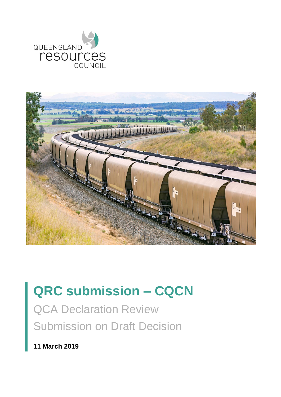



# **QRC submission – CQCN**

QCA Declaration Review Submission on Draft Decision

**11 March 2019**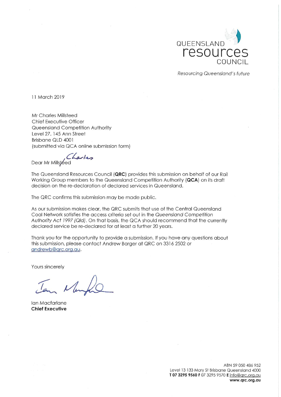

**Resourcing Queensland's future** 

11 March 2019

**Mr Charles Millsteed** Chief Executive Officer Queensland Competition Authority Level 27, 145 Ann Street Brisbane QLD 4001 (submitted via QCA online submission form)

Dear Mr Millsteed

The Queensland Resources Council (QRC) provides this submission on behalf of our Rail Working Group members to the Queensland Competition Authority (QCA) on its draft decision on the re-declaration of declared services in Queensland.

The QRC confirms this submission may be made public.

As our submission makes clear, the QRC submits that use of the Central Queensland Coal Network satisfies the access criteria set out in the Queensland Competition Authority Act 1997 (Qld). On that basis, the QCA should recommend that the currently declared service be re-declared for at least a further 20 years.

Thank you for the opportunity to provide a submission. If you have any questions about this submission, please contact Andrew Barger at QRC on 3316 2502 or andrewb@grc.org.au.

Yours sincerely

m Many

Ian Macfarlane **Chief Executive**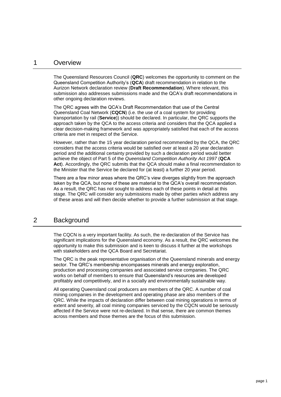#### 1 Overview

The Queensland Resources Council (**QRC**) welcomes the opportunity to comment on the Queensland Competition Authority's (**QCA**) draft recommendation in relation to the Aurizon Network declaration review (**Draft Recommendation**). Where relevant, this submission also addresses submissions made and the QCA's draft recommendations in other ongoing declaration reviews.

The QRC agrees with the QCA's Draft Recommendation that use of the Central Queensland Coal Network (**CQCN**) (i.e. the use of a coal system for providing transportation by rail (**Service**)) should be declared. In particular, the QRC supports the approach taken by the QCA to the access criteria and considers that the QCA applied a clear decision-making framework and was appropriately satisfied that each of the access criteria are met in respect of the Service.

However, rather than the 15 year declaration period recommended by the QCA, the QRC considers that the access criteria would be satisfied over at least a 20 year declaration period and the additional certainty provided by such a declaration period would better achieve the object of Part 5 of the *Queensland Competition Authority Act 1997* (**QCA Act**). Accordingly, the QRC submits that the QCA should make a final recommendation to the Minister that the Service be declared for (at least) a further 20 year period.

There are a few minor areas where the QRC's view diverges slightly from the approach taken by the QCA, but none of these are material to the QCA's overall recommendation. As a result, the QRC has not sought to address each of these points in detail at this stage. The QRC will consider any submissions made by other parties which address any of these areas and will then decide whether to provide a further submission at that stage.

## 2 Background

The CQCN is a very important facility. As such, the re-declaration of the Service has significant implications for the Queensland economy. As a result, the QRC welcomes the opportunity to make this submission and is keen to discuss it further at the workshops with stakeholders and the QCA Board and Secretariat.

The QRC is the peak representative organisation of the Queensland minerals and energy sector. The QRC's membership encompasses minerals and energy exploration, production and processing companies and associated service companies. The QRC works on behalf of members to ensure that Queensland's resources are developed profitably and competitively, and in a socially and environmentally sustainable way.

All operating Queensland coal producers are members of the QRC. A number of coal mining companies in the development and operating phase are also members of the QRC. While the impacts of declaration differ between coal mining operations in terms of extent and severity, all coal mining companies serviced by the CQCN would be seriously affected if the Service were not re-declared. In that sense, there are common themes across members and those themes are the focus of this submission.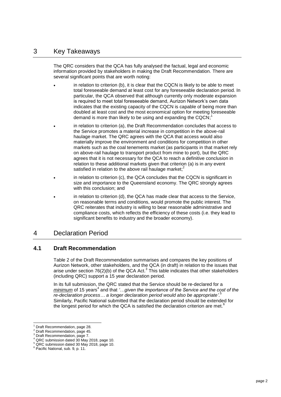### 3 Key Takeaways

The QRC considers that the QCA has fully analysed the factual, legal and economic information provided by stakeholders in making the Draft Recommendation. There are several significant points that are worth noting:

- in relation to criterion (b), it is clear that the CQCN is likely to be able to meet total foreseeable demand at least cost for any foreseeable declaration period. In particular, the QCA observed that although currently only moderate expansion is required to meet total foreseeable demand, Aurizon Network's own data indicates that the existing capacity of the CQCN is capable of being more than doubled at least cost and the most economical option for meeting foreseeable demand is more than likely to be using and expanding the CQCN;<sup>1</sup>
- in relation to criterion (a), the Draft Recommendation concludes that access to the Service promotes a material increase in competition in the above-rail haulage market. The QRC agrees with the QCA that access would also materially improve the environment and conditions for competition in other markets such as the coal tenements market (as participants in that market rely on above-rail haulage to transport product from mine to port), but the QRC agrees that it is not necessary for the QCA to reach a definitive conclusion in relation to these additional markets given that criterion (a) is in any event satisfied in relation to the above rail haulage market;<sup>2</sup>
- in relation to criterion (c), the QCA concludes that the CQCN is significant in size and importance to the Queensland economy. The QRC strongly agrees with this conclusion; and
- in relation to criterion (d), the QCA has made clear that access to the Service, on reasonable terms and conditions, would promote the public interest. The QRC reiterates that industry is willing to bear reasonable administrative and compliance costs, which reflects the efficiency of these costs (i.e. they lead to significant benefits to industry and the broader economy).

## 4 Declaration Period

#### **4.1 Draft Recommendation**

Table 2 of the Draft Recommendation summarises and compares the key positions of Aurizon Network, other stakeholders, and the QCA (in draft) in relation to the issues that arise under section 76(2)(b) of the QCA Act.<sup>3</sup> This table indicates that other stakeholders (including QRC) support a 15 year declaration period.

In its full submission, the QRC stated that the Service should be re-declared for a minimum of 15 years<sup>4</sup> and that *'…given the importance of the Service and the cost of the re-declaration process… a longer declaration period would also be appropriate'*. 5 Similarly, Pacific National submitted that the declaration period should be extended for the longest period for which the QCA is satisfied the declaration criterion are met. $6$ 

l

Draft Recommendation, page 28.

Draft Recommendation, page 45.

Draft Recommendation, page 7.

QRC submission dated 30 May 2018, page 10.

<sup>5</sup> QRC submission dated 30 May 2018, page 10.

<sup>&</sup>lt;sup>6</sup> Pacific National, sub. 9, p. 11.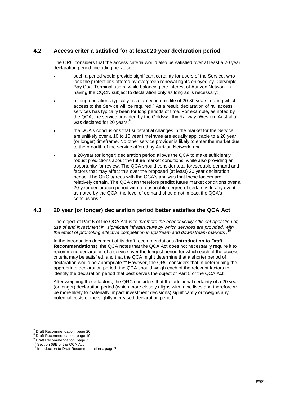#### **4.2 Access criteria satisfied for at least 20 year declaration period**

The QRC considers that the access criteria would also be satisfied over at least a 20 year declaration period, including because:

- such a period would provide significant certainty for users of the Service, who lack the protections offered by evergreen renewal rights enjoyed by Dalrymple Bay Coal Terminal users, while balancing the interest of Aurizon Network in having the CQCN subject to declaration only as long as is necessary;
- mining operations typically have an economic life of 20-30 years, during which access to the Service will be required. 7 As a result, declaration of rail access services has typically been for long periods of time. For example, as noted by the QCA, the service provided by the Goldsworthy Railway (Western Australia) was declared for 20 years;<sup>8</sup>
- the QCA's conclusions that substantial changes in the market for the Service are unlikely over a 10 to 15 year timeframe are equally applicable to a 20 year (or longer) timeframe. No other service provider is likely to enter the market due to the breadth of the service offered by Aurizon Network; and
- a 20-year (or longer) declaration period allows the QCA to make sufficiently robust predictions about the future market conditions, while also providing an opportunity for review. The QCA should consider total foreseeable demand and factors that may affect this over the proposed (at least) 20 year declaration period. The QRC agrees with the QCA's analysis that these factors are relatively certain. The QCA can therefore predict future market conditions over a 20-year declaration period with a reasonable degree of certainty. In any event, as noted by the QCA, the level of demand should not impact the QCA's conclusions. 9

#### **4.3 20 year (or longer) declaration period better satisfies the QCA Act**

The object of Part 5 of the QCA Act is to *'promote the economically efficient operation of, use of and investment in, significant infrastructure by which services are provided, with the effect of promoting effective competition in upstream and downstream markets'*. 10

In the introduction document of its draft recommendations (**Introduction to Draft Recommendations**), the QCA notes that the QCA Act does not necessarily require it to recommend declaration of a service over the longest period for which each of the access criteria may be satisfied, and that the QCA might determine that a shorter period of declaration would be appropriate.<sup>11</sup> However, the QRC considers that in determining the appropriate declaration period, the QCA should weigh each of the relevant factors to identify the declaration period that best serves the object of Part 5 of the QCA Act.

After weighing these factors, the QRC considers that the additional certainty of a 20 year (or longer) declaration period (which more closely aligns with mine lives and therefore will be more likely to materially impact investment decisions) significantly outweighs any potential costs of the slightly increased declaration period.

l

Draft Recommendation, page 20.

<sup>&</sup>lt;sup>8</sup> Draft Recommendation, page 19.

<sup>&</sup>lt;sup>9</sup> Draft Recommendation, page 7.

<sup>10</sup> Section 69E of the QCA Act.

<sup>&</sup>lt;sup>11</sup> Introduction to Draft Recommendations, page 7.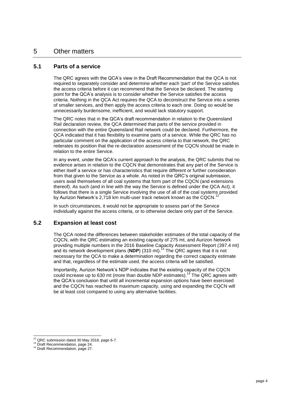### 5 Other matters

#### **5.1 Parts of a service**

The QRC agrees with the QCA's view in the Draft Recommendation that the QCA is not required to separately consider and determine whether each 'part' of the Service satisfies the access criteria before it can recommend that the Service be declared. The starting point for the QCA's analysis is to consider whether the Service satisfies the access criteria. Nothing in the QCA Act requires the QCA to deconstruct the Service into a series of smaller services, and then apply the access criteria to each one. Doing so would be unnecessarily burdensome, inefficient, and would lack statutory support.

The QRC notes that in the QCA's draft recommendation in relation to the Queensland Rail declaration review, the QCA determined that parts of the service provided in connection with the entire Queensland Rail network could be declared. Furthermore, the QCA indicated that it has flexibility to examine parts of a service. While the QRC has no particular comment on the application of the access criteria to that network, the QRC reiterates its position that the re-declaration assessment of the CQCN should be made in relation to the entire Service.

In any event, under the QCA's current approach to the analysis, the QRC submits that no evidence arises in relation to the CQCN that demonstrates that any part of the Service is either itself a service or has characteristics that require different or further consideration from that given to the Service as a whole. As noted in the QRC's original submission, users avail themselves of all coal systems that form part of the CQCN (and extensions thereof). As such (and in line with the way the Service is defined under the QCA Act), it follows that there is a single Service involving the use of all of the coal systems provided by Aurizon Network's 2,718 km multi-user track network known as the CQCN.<sup>12</sup>

In such circumstances, it would not be appropriate to assess part of the Service individually against the access criteria, or to otherwise declare only part of the Service.

#### **5.2 Expansion at least cost**

The QCA noted the differences between stakeholder estimates of the total capacity of the CQCN, with the QRC estimating an existing capacity of 275 mt, and Aurizon Network providing multiple numbers in the 2016 Baseline Capacity Assessment Report (397.4 mt) and its network development plans (**NDP**) (310 mt). <sup>13</sup> The QRC agrees that it is not necessary for the QCA to make a determination regarding the correct capacity estimate and that, regardless of the estimate used, the access criteria will be satisfied.

Importantly, Aurizon Network's NDP indicates that the existing capacity of the CQCN could increase up to 630 mt (more than double NDP estimates).<sup>14</sup> The QRC agrees with the QCA's conclusion that until all incremental expansion options have been exercised and the CQCN has reached its maximum capacity, using and expanding the CQCN will be at least cost compared to using any alternative facilities.

l  $12$  QRC submission dated 30 May 2018, page 6-7.

<sup>&</sup>lt;sup>13</sup> Draft Recommendation, page 24.

<sup>&</sup>lt;sup>14</sup> Draft Recommendation, page 27.